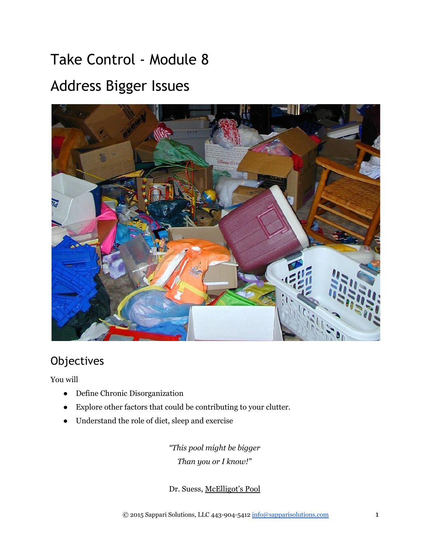# Take Control ‐ Module 8 Address Bigger Issues



# **Objectives**

You will

- Define Chronic Disorganization
- Explore other factors that could be contributing to your clutter.
- Understand the role of diet, sleep and exercise

*"This pool might be bigger Than you or I know!"*

Dr. Suess, McElligot's Pool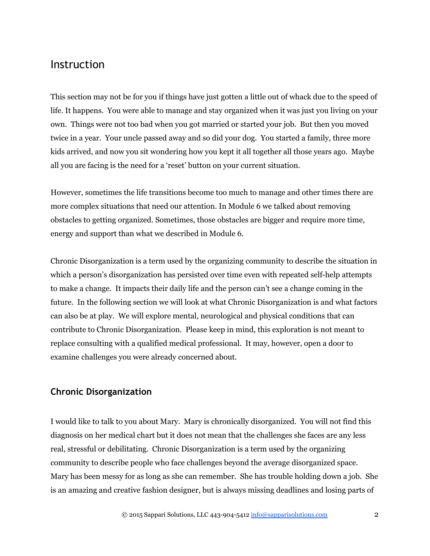## Instruction

This section may not be for you if things have just gotten a little out of whack due to the speed of life. It happens. You were able to manage and stay organized when it was just you living on your own. Things were not too bad when you got married or started your job. But then you moved twice in a year. Your uncle passed away and so did your dog. You started a family, three more kids arrived, and now you sit wondering how you kept it all together all those years ago. Maybe all you are facing is the need for a 'reset' button on your current situation.

However, sometimes the life transitions become too much to manage and other times there are more complex situations that need our attention. In Module 6 we talked about removing obstacles to getting organized. Sometimes, those obstacles are bigger and require more time, energy and support than what we described in Module 6.

Chronic Disorganization is a term used by the organizing community to describe the situation in which a person's disorganization has persisted over time even with repeated self-help attempts to make a change. It impacts their daily life and the person can't see a change coming in the future. In the following section we will look at what Chronic Disorganization is and what factors can also be at play. We will explore mental, neurological and physical conditions that can contribute to Chronic Disorganization. Please keep in mind, this exploration is not meant to replace consulting with a qualified medical professional. It may, however, open a door to examine challenges you were already concerned about.

#### **Chronic Disorganization**

I would like to talk to you about Mary. Mary is chronically disorganized. You will not find this diagnosis on her medical chart but it does not mean that the challenges she faces are any less real, stressful or debilitating. Chronic Disorganization is a term used by the organizing community to describe people who face challenges beyond the average disorganized space. Mary has been messy for as long as she can remember. She has trouble holding down a job. She is an amazing and creative fashion designer, but is always missing deadlines and losing parts of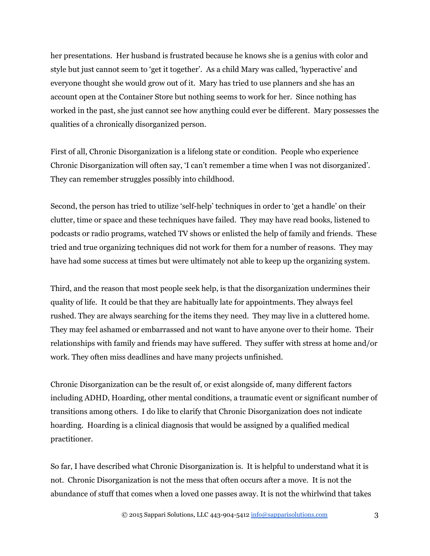her presentations. Her husband is frustrated because he knows she is a genius with color and style but just cannot seem to 'get it together'. As a child Mary was called, 'hyperactive' and everyone thought she would grow out of it. Mary has tried to use planners and she has an account open at the Container Store but nothing seems to work for her. Since nothing has worked in the past, she just cannot see how anything could ever be different. Mary possesses the qualities of a chronically disorganized person.

First of all, Chronic Disorganization is a lifelong state or condition. People who experience Chronic Disorganization will often say, 'I can't remember a time when I was not disorganized'. They can remember struggles possibly into childhood.

Second, the person has tried to utilize 'self-help' techniques in order to 'get a handle' on their clutter, time or space and these techniques have failed. They may have read books, listened to podcasts or radio programs, watched TV shows or enlisted the help of family and friends. These tried and true organizing techniques did not work for them for a number of reasons. They may have had some success at times but were ultimately not able to keep up the organizing system.

Third, and the reason that most people seek help, is that the disorganization undermines their quality of life. It could be that they are habitually late for appointments. They always feel rushed. They are always searching for the items they need. They may live in a cluttered home. They may feel ashamed or embarrassed and not want to have anyone over to their home. Their relationships with family and friends may have suffered. They suffer with stress at home and/or work. They often miss deadlines and have many projects unfinished.

Chronic Disorganization can be the result of, or exist alongside of, many different factors including ADHD, Hoarding, other mental conditions, a traumatic event or significant number of transitions among others. I do like to clarify that Chronic Disorganization does not indicate hoarding. Hoarding is a clinical diagnosis that would be assigned by a qualified medical practitioner.

So far, I have described what Chronic Disorganization is. It is helpful to understand what it is not. Chronic Disorganization is not the mess that often occurs after a move. It is not the abundance of stuff that comes when a loved one passes away. It is not the whirlwind that takes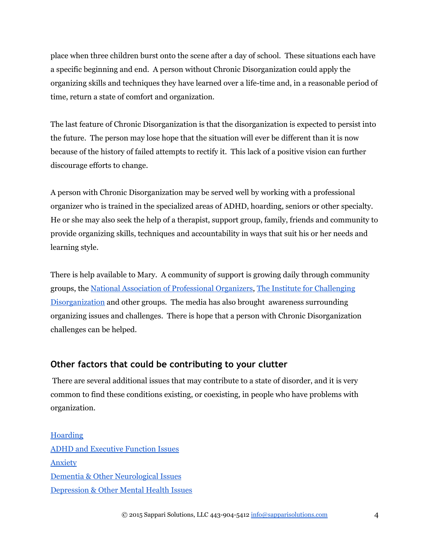place when three children burst onto the scene after a day of school. These situations each have a specific beginning and end. A person without Chronic Disorganization could apply the organizing skills and techniques they have learned over a lifetime and, in a reasonable period of time, return a state of comfort and organization.

The last feature of Chronic Disorganization is that the disorganization is expected to persist into the future. The person may lose hope that the situation will ever be different than it is now because of the history of failed attempts to rectify it. This lack of a positive vision can further discourage efforts to change.

A person with Chronic Disorganization may be served well by working with a professional organizer who is trained in the specialized areas of ADHD, hoarding, seniors or other specialty. He or she may also seek the help of a therapist, support group, family, friends and community to provide organizing skills, techniques and accountability in ways that suit his or her needs and learning style.

There is help available to Mary. A community of support is growing daily through community groups, the [National Association of Professional Organizers,](http://www.napo.net/) The Institute for [Challenging](http://www.challengingdisorganization.org/) [Disorganization](http://www.challengingdisorganization.org/) and other groups. The media has also brought awareness surrounding organizing issues and challenges. There is hope that a person with Chronic Disorganization challenges can be helped.

#### **Other factors that could be contributing to your clutter**

 There are several additional issues that may contribute to a state of disorder, and it is very common to find these conditions existing, or coexisting, in people who have problems with organization.

[Hoarding](#page-4-0) [ADHD and Executive Function Issues](#page-8-0) [Anxiety](#page-5-0) [Dementia & Other Neurological Issues](#page-12-0) [Depression & Other Mental Health Issues](#page-12-1)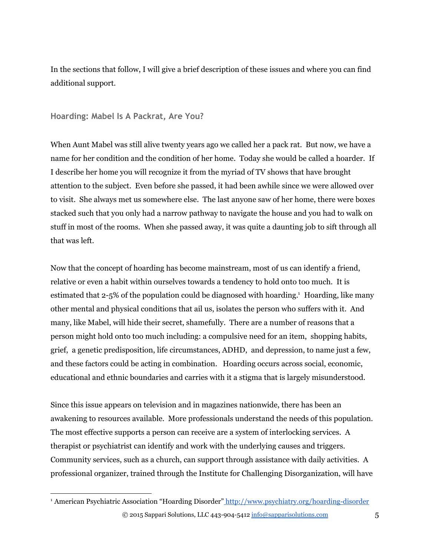In the sections that follow, I will give a brief description of these issues and where you can find additional support.

<span id="page-4-0"></span>**Hoarding: Mabel Is A Packrat, Are You?**

When Aunt Mabel was still alive twenty years ago we called her a pack rat. But now, we have a name for her condition and the condition of her home. Today she would be called a hoarder. If I describe her home you will recognize it from the myriad of TV shows that have brought attention to the subject. Even before she passed, it had been awhile since we were allowed over to visit. She always met us somewhere else. The last anyone saw of her home, there were boxes stacked such that you only had a narrow pathway to navigate the house and you had to walk on stuff in most of the rooms. When she passed away, it was quite a daunting job to sift through all that was left.

Now that the concept of hoarding has become mainstream, most of us can identify a friend, relative or even a habit within ourselves towards a tendency to hold onto too much. It is estimated that 2-5% of the population could be diagnosed with hoarding.<sup>1</sup> Hoarding, like many other mental and physical conditions that ail us, isolates the person who suffers with it. And many, like Mabel, will hide their secret, shamefully. There are a number of reasons that a person might hold onto too much including: a compulsive need for an item, shopping habits, grief, a genetic predisposition, life circumstances, ADHD, and depression, to name just a few, and these factors could be acting in combination. Hoarding occurs across social, economic, educational and ethnic boundaries and carries with it a stigma that is largely misunderstood.

Since this issue appears on television and in magazines nationwide, there has been an awakening to resources available. More professionals understand the needs of this population. The most effective supports a person can receive are a system of interlocking services. A therapist or psychiatrist can identify and work with the underlying causes and triggers. Community services, such as a church, can support through assistance with daily activities. A professional organizer, trained through the Institute for Challenging Disorganization, will have

 $\odot$  2015 Sappari Solutions, LLC 443-904-5412  $\frac{info@sapparisolutions.com}{f}$  5

<sup>&</sup>lt;sup>1</sup> American Psychiatric Association "Hoarding Disorder" http://www.psychiatry.org/hoarding-disorder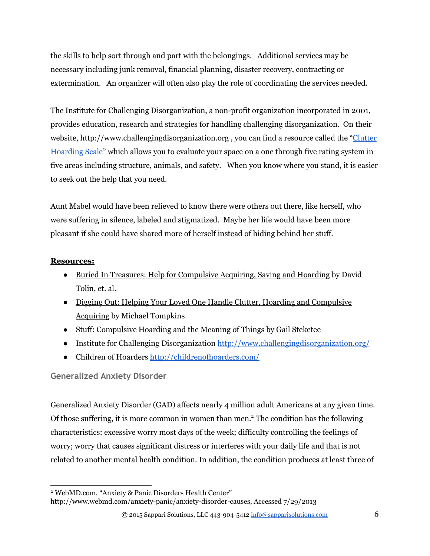the skills to help sort through and part with the belongings. Additional services may be necessary including junk removal, financial planning, disaster recovery, contracting or extermination. An organizer will often also play the role of coordinating the services needed.

The Institute for Challenging Disorganization, a non-profit organization incorporated in 2001, provides education, research and strategies for handling challenging disorganization. On their website, http://www.challengingdisorganization.org, you can find a resource called the "[Clutter](http://www.challengingdisorganization.org/node/58)" [Hoarding Scale"](http://www.challengingdisorganization.org/node/58) which allows you to evaluate your space on a one through five rating system in five areas including structure, animals, and safety. When you know where you stand, it is easier to seek out the help that you need.

Aunt Mabel would have been relieved to know there were others out there, like herself, who were suffering in silence, labeled and stigmatized. Maybe her life would have been more pleasant if she could have shared more of herself instead of hiding behind her stuff.

#### **Resources:**

- Buried In Treasures: Help for Compulsive Acquiring, Saving and Hoarding by David Tolin, et. al.
- Digging Out: Helping Your Loved One Handle Clutter, Hoarding and Compulsive Acquiring by Michael Tompkins
- Stuff: Compulsive Hoarding and the Meaning of Things by Gail Steketee
- Institute for Challenging Disorganization<http://www.challengingdisorganization.org/>
- Children of Hoarders <http://childrenofhoarders.com/>

#### <span id="page-5-0"></span>**Generalized Anxiety Disorder**

Generalized Anxiety Disorder (GAD) affects nearly 4 million adult Americans at any given time. Of those suffering, it is more common in women than men.<sup>2</sup> The condition has the following characteristics: excessive worry most days of the week; difficulty controlling the feelings of worry; worry that causes significant distress or interferes with your daily life and that is not related to another mental health condition. In addition, the condition produces at least three of

<sup>&</sup>lt;sup>2</sup> WebMD.com, ["](http://www.webmd.com/anxiety-panic/anxiety-disorder-causes)Anxiety & Panic Disorders Health Center"

http://www.webmd.com/anxiety-panic/anxiety-disorder-causes, Accessed 7/29/2013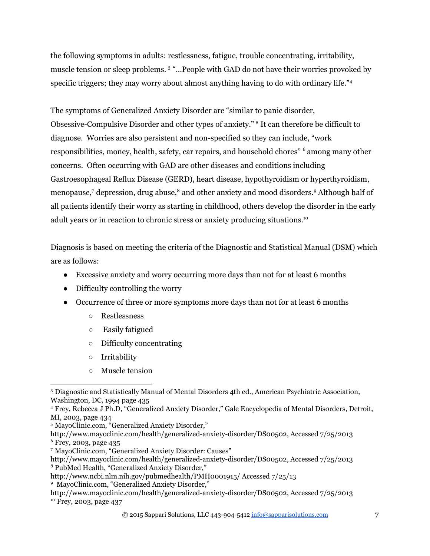the following symptoms in adults: restlessness, fatigue, trouble concentrating, irritability, muscle tension or sleep problems.<sup>3</sup> "...People with GAD do not have their worries provoked by specific triggers; they may worry about almost anything having to do with ordinary life."<sup>4</sup>

The symptoms of Generalized Anxiety Disorder are "similar to panic disorder, Obsessive-Compulsive Disorder and other types of anxiety." <sup>5</sup> It can therefore be difficult to diagnose. Worries are also persistent and nonspecified so they can include, "work responsibilities, money, health, safety, car repairs, and household chores" <sup>6</sup> among many other concerns. Often occurring with GAD are other diseases and conditions including Gastroesophageal Reflux Disease (GERD), heart disease, hypothyroidism or hyperthyroidism, menopause,<sup>7</sup> depression, drug abuse,<sup>8</sup> and other anxiety and mood disorders.<sup>9</sup> Although half of all patients identify their worry as starting in childhood, others develop the disorder in the early adult years or in reaction to chronic stress or anxiety producing situations.<sup>10</sup>

Diagnosis is based on meeting the criteria of the Diagnostic and Statistical Manual (DSM) which are as follows:

- Excessive anxiety and worry occurring more days than not for at least 6 months
- Difficulty controlling the worry
- Occurrence of three or more symptoms more days than not for at least 6 months
	- Restlessness
	- Easily fatigued
	- Difficulty concentrating
	- Irritability
	- Muscle tension

<sup>3</sup> Diagnostic and Statistically Manual of Mental Disorders 4th ed., American Psychiatric Association, Washington, DC, 1994 page 435

<sup>4</sup> Frey, Rebecca J Ph.D, "Generalized Anxiety Disorder," Gale Encyclopedia of Mental Disorders, Detroit, MI, 2003, page 434

<sup>5</sup> MayoClinic.com, "Generalized Anxiety Disorder,["](http://www.mayoclinic.com/health/generalized-anxiety-disorder/DS00502)

http://www.mayoclinic.com/health/generalized-anxiety-disorder/DS00502, Accessed 7/25/2013 6 Frey, 2003, page 435

<sup>7</sup> MayoClinic.com, "Generalized Anxiety Disorder: Causes["](http://www.mayoclinic.com/health/generalized-anxiety-disorder/DS00502)

http://www.mayoclinic.com/health/generalized-anxiety-disorder/DS00502, Accessed 7/25/2013 8 PubMed Health, "Generalized Anxiety Disorder,["](http://www.ncbi.nlm.nih.gov/pubmedhealth/PMH0001915/)

<http://www.ncbi.nlm.nih.gov/pubmedhealth/PMH0001915/> Accessed 7/25/13

<sup>9</sup> MayoClinic.com, "Generalized Anxiety Disorder,["](http://www.mayoclinic.com/health/generalized-anxiety-disorder/DS00502)

http://www.mayoclinic.com/health/generalized-anxiety-disorder/DS00502, Accessed 7/25/2013 <sup>10</sup> Frey, 2003, page 437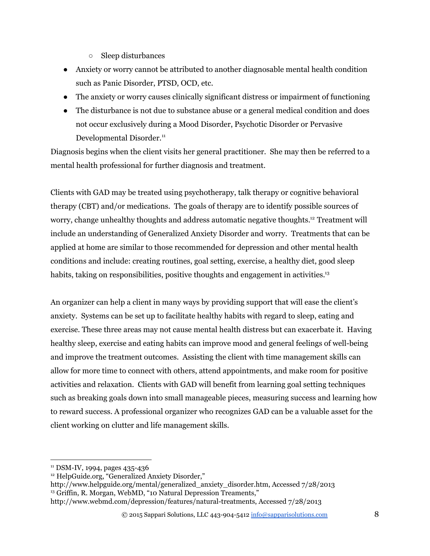- Sleep disturbances
- Anxiety or worry cannot be attributed to another diagnosable mental health condition such as Panic Disorder, PTSD, OCD, etc.
- The anxiety or worry causes clinically significant distress or impairment of functioning
- The disturbance is not due to substance abuse or a general medical condition and does not occur exclusively during a Mood Disorder, Psychotic Disorder or Pervasive Developmental Disorder. 11

Diagnosis begins when the client visits her general practitioner. She may then be referred to a mental health professional for further diagnosis and treatment.

Clients with GAD may be treated using psychotherapy, talk therapy or cognitive behavioral therapy (CBT) and/or medications. The goals of therapy are to identify possible sources of worry, change unhealthy thoughts and address automatic negative thoughts.<sup>12</sup> Treatment will include an understanding of Generalized Anxiety Disorder and worry. Treatments that can be applied at home are similar to those recommended for depression and other mental health conditions and include: creating routines, goal setting, exercise, a healthy diet, good sleep habits, taking on responsibilities, positive thoughts and engagement in activities.<sup>13</sup>

An organizer can help a client in many ways by providing support that will ease the client's anxiety. Systems can be set up to facilitate healthy habits with regard to sleep, eating and exercise. These three areas may not cause mental health distress but can exacerbate it. Having healthy sleep, exercise and eating habits can improve mood and general feelings of well-being and improve the treatment outcomes. Assisting the client with time management skills can allow for more time to connect with others, attend appointments, and make room for positive activities and relaxation. Clients with GAD will benefit from learning goal setting techniques such as breaking goals down into small manageable pieces, measuring success and learning how to reward success. A professional organizer who recognizes GAD can be a valuable asset for the client working on clutter and life management skills.

 $11$  DSM-IV, 1994, pages 435-436

<sup>&</sup>lt;sup>12</sup> HelpGuide.org, "Generalized Anxiety Disorder."

[http://www.helpguide.org/mental/generalized\\_anxiety\\_disorder.htm,](http://www.helpguide.org/mental/generalized_anxiety_disorder.htm) Accessed 7/28/2013 <sup>13</sup> Griffin, R. Morgan, WebMD, ["](http://www.webmd.com/depression/features/natural-treatments)10 Natural Depression Treaments," http://www.webmd.com/depression/features/natural-treatments, Accessed 7/28/2013

 $\odot$  2015 Sappari Solutions, LLC 443-904-5412 [info@sapparisolutions.com](mailto:info@sapparisolutions.com) 8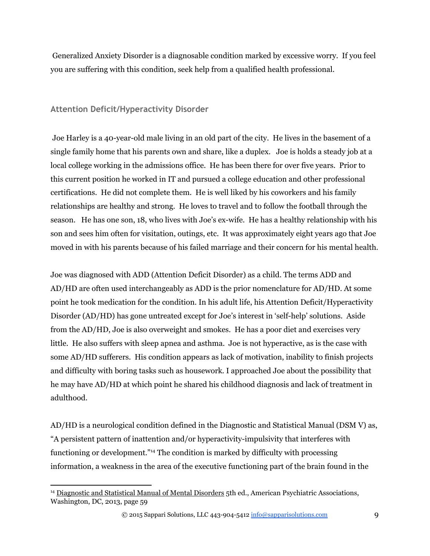Generalized Anxiety Disorder is a diagnosable condition marked by excessive worry. If you feel you are suffering with this condition, seek help from a qualified health professional.

#### <span id="page-8-0"></span>**Attention Deficit/Hyperactivity Disorder**

Joe Harley is a 40-year-old male living in an old part of the city. He lives in the basement of a single family home that his parents own and share, like a duplex. Joe is holds a steady job at a local college working in the admissions office. He has been there for over five years. Prior to this current position he worked in IT and pursued a college education and other professional certifications. He did not complete them. He is well liked by his coworkers and his family relationships are healthy and strong. He loves to travel and to follow the football through the season. He has one son, 18, who lives with Joe's ex-wife. He has a healthy relationship with his son and sees him often for visitation, outings, etc. It was approximately eight years ago that Joe moved in with his parents because of his failed marriage and their concern for his mental health.

Joe was diagnosed with ADD (Attention Deficit Disorder) as a child. The terms ADD and AD/HD are often used interchangeably as ADD is the prior nomenclature for AD/HD. At some point he took medication for the condition. In his adult life, his Attention Deficit/Hyperactivity Disorder (AD/HD) has gone untreated except for Joe's interest in 'self-help' solutions. Aside from the AD/HD, Joe is also overweight and smokes. He has a poor diet and exercises very little. He also suffers with sleep apnea and asthma. Joe is not hyperactive, as is the case with some AD/HD sufferers. His condition appears as lack of motivation, inability to finish projects and difficulty with boring tasks such as housework. I approached Joe about the possibility that he may have AD/HD at which point he shared his childhood diagnosis and lack of treatment in adulthood.

AD/HD is a neurological condition defined in the Diagnostic and Statistical Manual (DSM V) as, "A persistent pattern of inattention and/or hyperactivityimpulsivity that interferes with functioning or development."<sup>14</sup> The condition is marked by difficulty with processing information, a weakness in the area of the executive functioning part of the brain found in the

<sup>&</sup>lt;sup>14</sup> Diagnostic and Statistical Manual of Mental Disorders 5th ed., American Psychiatric Associations, Washington, DC, 2013, page 59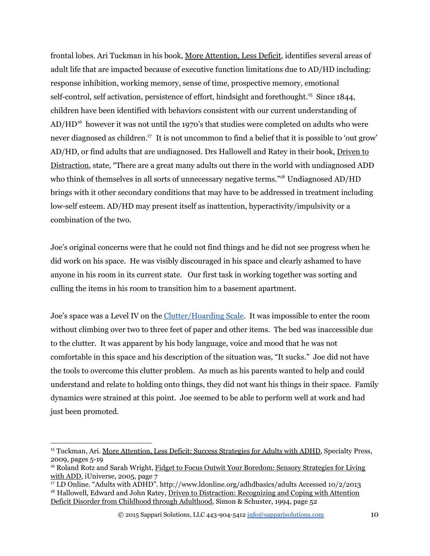frontal lobes. Ari Tuckman in his book, More Attention, Less Deficit, identifies several areas of adult life that are impacted because of executive function limitations due to AD/HD including: response inhibition, working memory, sense of time, prospective memory, emotional self-control, self activation, persistence of effort, hindsight and forethought.<sup>15</sup> Since 1844, children have been identified with behaviors consistent with our current understanding of  $AD/HD<sup>16</sup>$  however it was not until the 1970's that studies were completed on adults who were never diagnosed as children.<sup>17</sup> It is not uncommon to find a belief that it is possible to 'out grow' AD/HD, or find adults that are undiagnosed. Drs Hallowell and Ratey in their book, Driven to Distraction, state, "There are a great many adults out there in the world with undiagnosed ADD who think of themselves in all sorts of unnecessary negative terms."<sup>18</sup> Undiagnosed AD/HD brings with it other secondary conditions that may have to be addressed in treatment including low-self esteem. AD/HD may present itself as inattention, hyperactivity/impulsivity or a combination of the two.

Joe's original concerns were that he could not find things and he did not see progress when he did work on his space. He was visibly discouraged in his space and clearly ashamed to have anyone in his room in its current state. Our first task in working together was sorting and culling the items in his room to transition him to a basement apartment.

Joe's space was a Level IV on the [Clutter/Hoarding Scale](http://www.challengingdisorganization.org/node/58). It was impossible to enter the room without climbing over two to three feet of paper and other items. The bed was inaccessible due to the clutter. It was apparent by his body language, voice and mood that he was not comfortable in this space and his description of the situation was, "It sucks." Joe did not have the tools to overcome this clutter problem. As much as his parents wanted to help and could understand and relate to holding onto things, they did not want his things in their space. Family dynamics were strained at this point. Joe seemed to be able to perform well at work and had just been promoted.

 $\odot$  2015 Sappari Solutions, LLC 443-904-5412 [info@sapparisolutions.com](mailto:info@sapparisolutions.com) 10

<sup>15</sup> Tuckman, Ari. More Attention, Less Deficit: Success Strategies for Adults with ADHD, Specialty Press, 2009, pages 5-19

<sup>16</sup> Roland Rotz and Sarah Wright, Fidget to Focus Outwit Your Boredom: Sensory Strategies for Living with ADD, iUniverse, 2005, page 7

<sup>17</sup> LD Online. "Adults with ADHD". <http://www.ldonline.org/adhdbasics/adults> Accessed 10/2/2013 <sup>18</sup> Hallowell, Edward and John Ratey, Driven to Distraction: Recognizing and Coping with Attention Deficit Disorder from Childhood through Adulthood, Simon & Schuster, 1994, page 52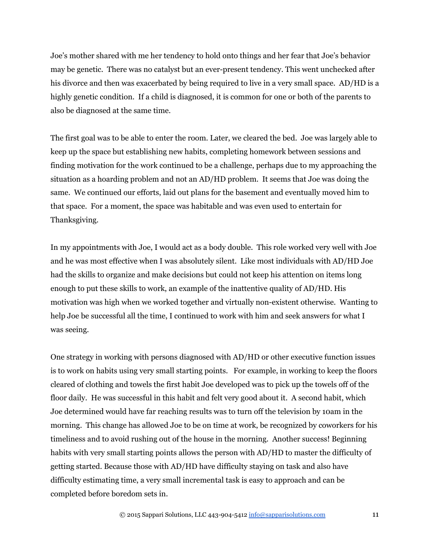Joe's mother shared with me her tendency to hold onto things and her fear that Joe's behavior may be genetic. There was no catalyst but an ever-present tendency. This went unchecked after his divorce and then was exacerbated by being required to live in a very small space. AD/HD is a highly genetic condition. If a child is diagnosed, it is common for one or both of the parents to also be diagnosed at the same time.

The first goal was to be able to enter the room. Later, we cleared the bed. Joe was largely able to keep up the space but establishing new habits, completing homework between sessions and finding motivation for the work continued to be a challenge, perhaps due to my approaching the situation as a hoarding problem and not an AD/HD problem. It seems that Joe was doing the same. We continued our efforts, laid out plans for the basement and eventually moved him to that space. For a moment, the space was habitable and was even used to entertain for Thanksgiving.

In my appointments with Joe, I would act as a body double. This role worked very well with Joe and he was most effective when I was absolutely silent. Like most individuals with AD/HD Joe had the skills to organize and make decisions but could not keep his attention on items long enough to put these skills to work, an example of the inattentive quality of AD/HD. His motivation was high when we worked together and virtually non-existent otherwise. Wanting to help Joe be successful all the time, I continued to work with him and seek answers for what I was seeing.

One strategy in working with persons diagnosed with AD/HD or other executive function issues is to work on habits using very small starting points. For example, in working to keep the floors cleared of clothing and towels the first habit Joe developed was to pick up the towels off of the floor daily. He was successful in this habit and felt very good about it. A second habit, which Joe determined would have far reaching results was to turn off the television by 10am in the morning. This change has allowed Joe to be on time at work, be recognized by coworkers for his timeliness and to avoid rushing out of the house in the morning. Another success! Beginning habits with very small starting points allows the person with AD/HD to master the difficulty of getting started. Because those with AD/HD have difficulty staying on task and also have difficulty estimating time, a very small incremental task is easy to approach and can be completed before boredom sets in.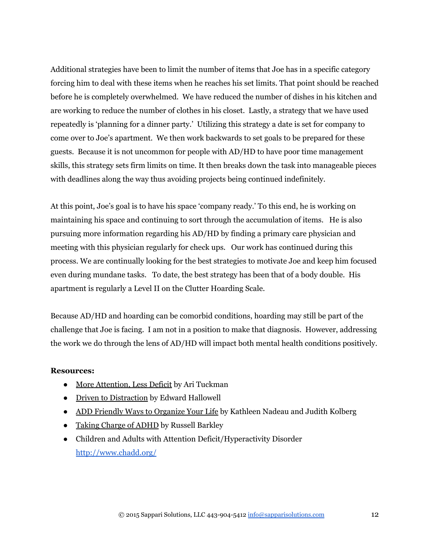Additional strategies have been to limit the number of items that Joe has in a specific category forcing him to deal with these items when he reaches his set limits. That point should be reached before he is completely overwhelmed. We have reduced the number of dishes in his kitchen and are working to reduce the number of clothes in his closet. Lastly, a strategy that we have used repeatedly is 'planning for a dinner party.' Utilizing this strategy a date is set for company to come over to Joe's apartment. We then work backwards to set goals to be prepared for these guests. Because it is not uncommon for people with AD/HD to have poor time management skills, this strategy sets firm limits on time. It then breaks down the task into manageable pieces with deadlines along the way thus avoiding projects being continued indefinitely.

At this point, Joe's goal is to have his space 'company ready.' To this end, he is working on maintaining his space and continuing to sort through the accumulation of items. He is also pursuing more information regarding his AD/HD by finding a primary care physician and meeting with this physician regularly for check ups. Our work has continued during this process. We are continually looking for the best strategies to motivate Joe and keep him focused even during mundane tasks. To date, the best strategy has been that of a body double. His apartment is regularly a Level II on the Clutter Hoarding Scale.

Because AD/HD and hoarding can be comorbid conditions, hoarding may still be part of the challenge that Joe is facing. I am not in a position to make that diagnosis. However, addressing the work we do through the lens of AD/HD will impact both mental health conditions positively.

#### **Resources:**

- More Attention, Less Deficit by Ari Tuckman
- Driven to Distraction by Edward Hallowell
- ADD Friendly Ways to Organize Your Life by Kathleen Nadeau and Judith Kolberg
- Taking Charge of ADHD by Russell Barkley
- Children and Adults with Attention Deficit/Hyperactivity Disorder <http://www.chadd.org/>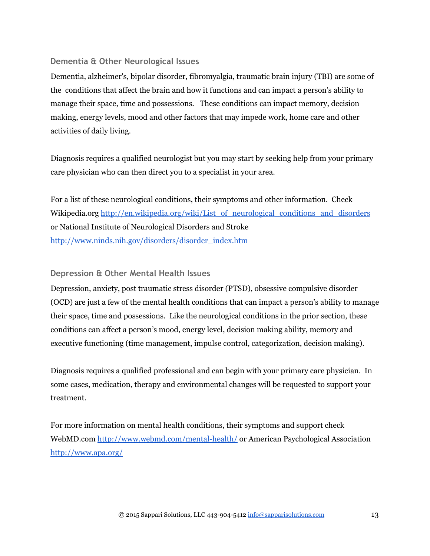#### <span id="page-12-0"></span>**Dementia & Other Neurological Issues**

Dementia, alzheimer's, bipolar disorder, fibromyalgia, traumatic brain injury (TBI) are some of the conditions that affect the brain and how it functions and can impact a person's ability to manage their space, time and possessions. These conditions can impact memory, decision making, energy levels, mood and other factors that may impede work, home care and other activities of daily living.

Diagnosis requires a qualified neurologist but you may start by seeking help from your primary care physician who can then direct you to a specialist in your area.

For a list of these neurological conditions, their symptoms and other information. Check Wikipedia.org [http://en.wikipedia.org/wiki/List\\_of\\_neurological\\_conditions\\_and\\_disorders](http://en.wikipedia.org/wiki/List_of_neurological_conditions_and_disorders) or National Institute of Neurological Disorders and Stroke [http://www.ninds.nih.gov/disorders/disorder\\_index.htm](http://www.ninds.nih.gov/disorders/disorder_index.htm)

#### <span id="page-12-1"></span>**Depression & Other Mental Health Issues**

Depression, anxiety, post traumatic stress disorder (PTSD), obsessive compulsive disorder (OCD) are just a few of the mental health conditions that can impact a person's ability to manage their space, time and possessions. Like the neurological conditions in the prior section, these conditions can affect a person's mood, energy level, decision making ability, memory and executive functioning (time management, impulse control, categorization, decision making).

Diagnosis requires a qualified professional and can begin with your primary care physician. In some cases, medication, therapy and environmental changes will be requested to support your treatment.

For more information on mental health conditions, their symptoms and support check WebMD.com http://www.webmd.com/mental-health/ or American Psychological Association <http://www.apa.org/>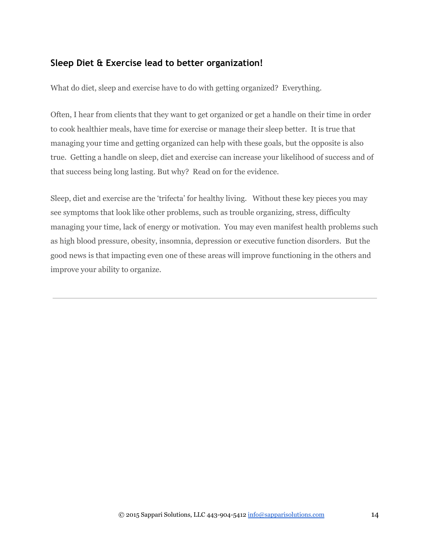#### **Sleep Diet & Exercise lead to better organization!**

What do diet, sleep and exercise have to do with getting organized? Everything.

Often, I hear from clients that they want to get organized or get a handle on their time in order to cook healthier meals, have time for exercise or manage their sleep better. It is true that managing your time and getting organized can help with these goals, but the opposite is also true. Getting a handle on sleep, diet and exercise can increase your likelihood of success and of that success being long lasting. But why? Read on for the evidence.

Sleep, diet and exercise are the 'trifecta' for healthy living. Without these key pieces you may see symptoms that look like other problems, such as trouble organizing, stress, difficulty managing your time, lack of energy or motivation. You may even manifest health problems such as high blood pressure, obesity, insomnia, depression or executive function disorders. But the good news is that impacting even one of these areas will improve functioning in the others and improve your ability to organize.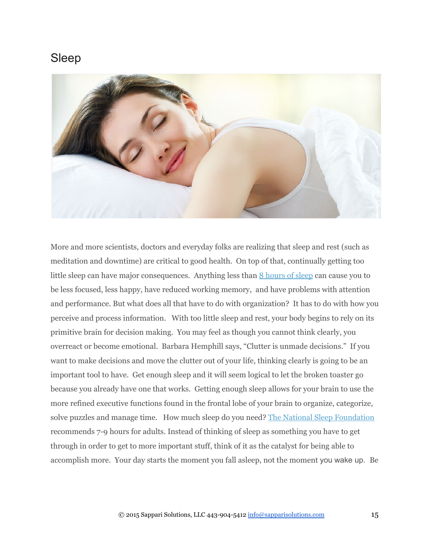# Sleep



More and more scientists, doctors and everyday folks are realizing that sleep and rest (such as meditation and downtime) are critical to good health. On top of that, continually getting too little sleep can have major consequences. Anything less than [8 hours](http://www.nytimes.com/2011/04/17/magazine/mag-17Sleep-t.html?_r=0) of sleep can cause you to be less focused, less happy, have reduced working memory, and have problems with attention and performance. But what does all that have to do with organization? It has to do with how you perceive and process information. With too little sleep and rest, your body begins to rely on its primitive brain for decision making. You may feel as though you cannot think clearly, you overreact or become emotional. Barbara Hemphill says, "Clutter is unmade decisions." If you want to make decisions and move the clutter out of your life, thinking clearly is going to be an important tool to have. Get enough sleep and it will seem logical to let the broken toaster go because you already have one that works. Getting enough sleep allows for your brain to use the more refined executive functions found in the frontal lobe of your brain to organize, categorize, solve puzzles and manage time. How much sleep do you need? The National Sleep [Foundation](http://sleepfoundation.org/) recommends 79 hours for adults. Instead of thinking of sleep as something you have to get through in order to get to more important stuff, think of it as the catalyst for being able to accomplish more. Your day starts the moment you fall asleep, not the moment you wake up. Be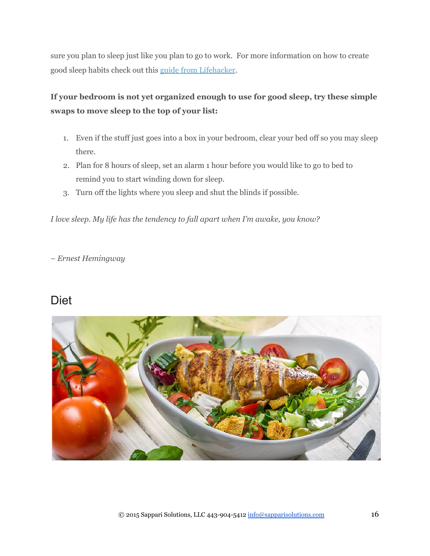sure you plan to sleep just like you plan to go to work. For more information on how to create good sleep habits check out this [guide from Lifehacker](http://lifehacker.com/309030/top-10-ways-to-sleep-smarter-and-better).

## **If your bedroom is not yet organized enough to use for good sleep, try these simple swaps to move sleep to the top of your list:**

- 1. Even if the stuff just goes into a box in your bedroom, clear your bed off so you may sleep there.
- 2. Plan for 8 hours of sleep, set an alarm 1 hour before you would like to go to bed to remind you to start winding down for sleep.
- 3. Turn off the lights where you sleep and shut the blinds if possible.

*I love sleep. My life has the tendency to fall apart when I'm awake, you know?*

*– Ernest Hemingway*

# Diet

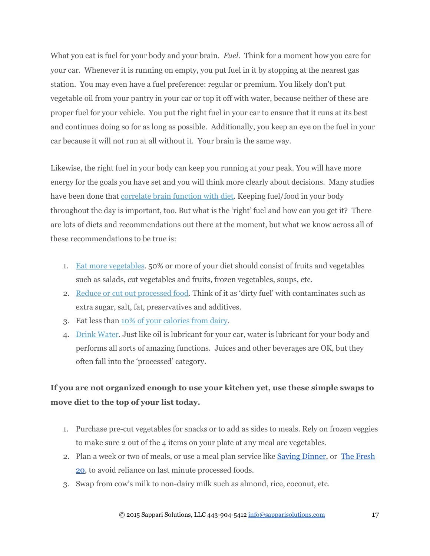What you eat is fuel for your body and your brain. *Fuel*. Think for a moment how you care for your car. Whenever it is running on empty, you put fuel in it by stopping at the nearest gas station. You may even have a fuel preference: regular or premium. You likely don't put vegetable oil from your pantry in your car or top it off with water, because neither of these are proper fuel for your vehicle. You put the right fuel in your car to ensure that it runs at its best and continues doing so for as long as possible. Additionally, you keep an eye on the fuel in your car because it will not run at all without it. Your brain is the same way.

Likewise, the right fuel in your body can keep you running at your peak. You will have more energy for the goals you have set and you will think more clearly about decisions. Many studies have been done that [correlate brain function with diet.](http://www.ncbi.nlm.nih.gov/pubmed/17180873) Keeping fuel/food in your body throughout the day is important, too. But what is the 'right' fuel and how can you get it? There are lots of diets and recommendations out there at the moment, but what we know across all of these recommendations to be true is:

- 1. [Eat more vegetables.](http://lifehacker.com/most-diets-can-be-boiled-down-to-three-words-eat-more-1633554716) 50% or more of your diet should consist of fruits and vegetables such as salads, cut vegetables and fruits, frozen vegetables, soups, etc.
- 2. [Reduce or cut out processed food.](https://www.drfuhrman.com/library/article13.aspx) Think of it as 'dirty fuel' with contaminates such as extra sugar, salt, fat, preservatives and additives.
- 3. Eat less than [10% of your calories from dairy.](http://en.wikipedia.org/wiki/The_China_Study)
- 4. [Drink Water.](http://www.drjo.com/2013/01/energy-2/dehydration-can-affect-your-mood-performance-and-energy/) Just like oil is lubricant for your car, water is lubricant for your body and performs all sorts of amazing functions. Juices and other beverages are OK, but they often fall into the 'processed' category.

### **If you are not organized enough to use your kitchen yet, use these simple swaps to move diet to the top of your list today.**

- 1. Purchase pre-cut vegetables for snacks or to add as sides to meals. Rely on frozen veggies to make sure 2 out of the 4 items on your plate at any meal are vegetables.
- 2. Plan a week or two of meals, or use a meal plan service like Saving [Dinner,](http://savingdinner.com/) or The [Fresh](http://www.thefresh20.com/meal-plans/) [20,](http://www.thefresh20.com/meal-plans/) to avoid reliance on last minute processed foods.
- 3. Swap from cow's milk to non-dairy milk such as almond, rice, coconut, etc.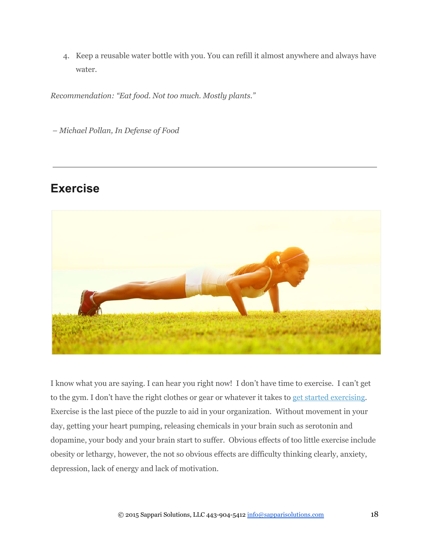4. Keep a reusable water bottle with you. You can refill it almost anywhere and always have water.

*Recommendation: "Eat food. Not too much. Mostly plants."*

*– Michael Pollan, In Defense of Food*

# **Exercise**



I know what you are saying. I can hear you right now! I don't have time to exercise. I can't get to the gym. I don't have the right clothes or gear or whatever it takes to get [started exercising.](http://www.webmd.com/fitness-exercise/features/train-your-brain-with-exercise) Exercise is the last piece of the puzzle to aid in your organization. Without movement in your day, getting your heart pumping, releasing chemicals in your brain such as serotonin and dopamine, your body and your brain start to suffer. Obvious effects of too little exercise include obesity or lethargy, however, the not so obvious effects are difficulty thinking clearly, anxiety, depression, lack of energy and lack of motivation.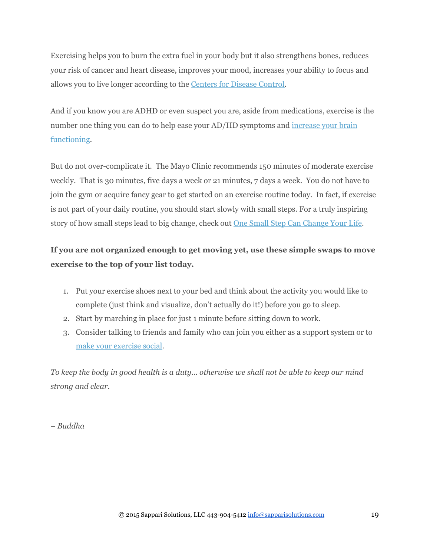Exercising helps you to burn the extra fuel in your body but it also strengthens bones, reduces your risk of cancer and heart disease, improves your mood, increases your ability to focus and allows you to live longer according to the [Centers for Disease Control.](http://www.cdc.gov/physicalactivity/everyone/health/)

And if you know you are ADHD or even suspect you are, aside from medications, exercise is the number one thing you can do to help ease your AD/HD symptoms and [increase](http://www.bakadesuyo.com/2011/12/what-activities-can-actually-make-you-smarter/) your brain [functioning](http://www.bakadesuyo.com/2011/12/what-activities-can-actually-make-you-smarter/).

But do not over-complicate it. The Mayo Clinic recommends 150 minutes of moderate exercise weekly. That is 30 minutes, five days a week or 21 minutes, 7 days a week. You do not have to join the gym or acquire fancy gear to get started on an exercise routine today. In fact, if exercise is not part of your daily routine, you should start slowly with small steps. For a truly inspiring story of how small steps lead to big change, check out [One Small Step](http://www.amazon.com/Small-Step-Change-Your-Life/dp/0761129235) Can Change Your Life.

## **If you are not organized enough to get moving yet, use these simple swaps to move exercise to the top of your list today.**

- 1. Put your exercise shoes next to your bed and think about the activity you would like to complete (just think and visualize, don't actually do it!) before you go to sleep.
- 2. Start by marching in place for just 1 minute before sitting down to work.
- 3. Consider talking to friends and family who can join you either as a support system or to [make your exercise social.](http://www.startwalkingnow.org/whystart_benefits_walking.jsp)

*To keep the body in good health is a duty… otherwise we shall not be able to keep our mind strong and clear.*

*– Buddha*